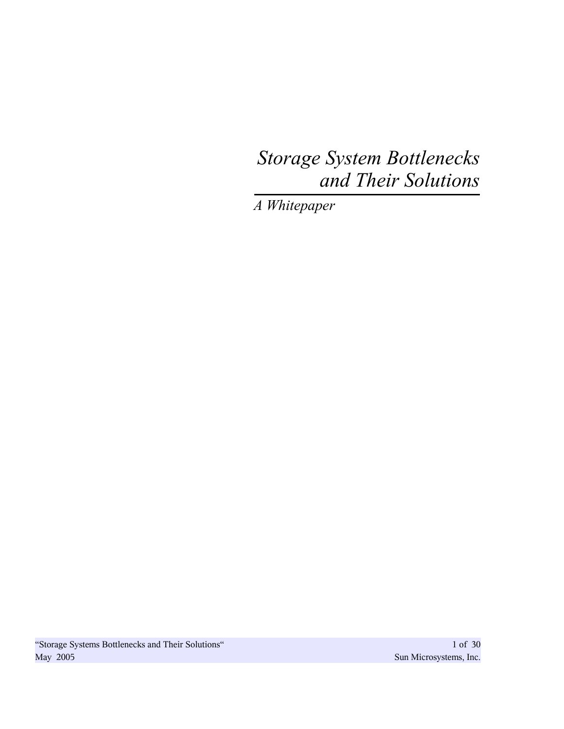# *Storage System Bottlenecks and Their Solutions*

*A Whitepaper*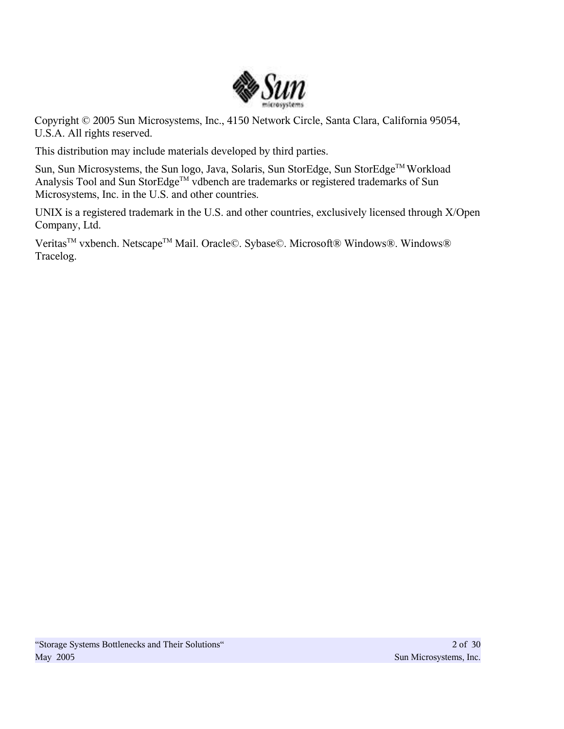

Copyright © 2005 Sun Microsystems, Inc., 4150 Network Circle, Santa Clara, California 95054, U.S.A. All rights reserved.

This distribution may include materials developed by third parties.

Sun, Sun Microsystems, the Sun logo, Java, Solaris, Sun StorEdge, Sun StorEdge™ Workload Analysis Tool and Sun StorEdge™ vdbench are trademarks or registered trademarks of Sun Microsystems, Inc. in the U.S. and other countries.

UNIX is a registered trademark in the U.S. and other countries, exclusively licensed through X/Open Company, Ltd.

Veritas<sup>™</sup> vxbench. Netscape<sup>™</sup> Mail. Oracle©. Sybase©. Microsoft® Windows®. Windows® Tracelog.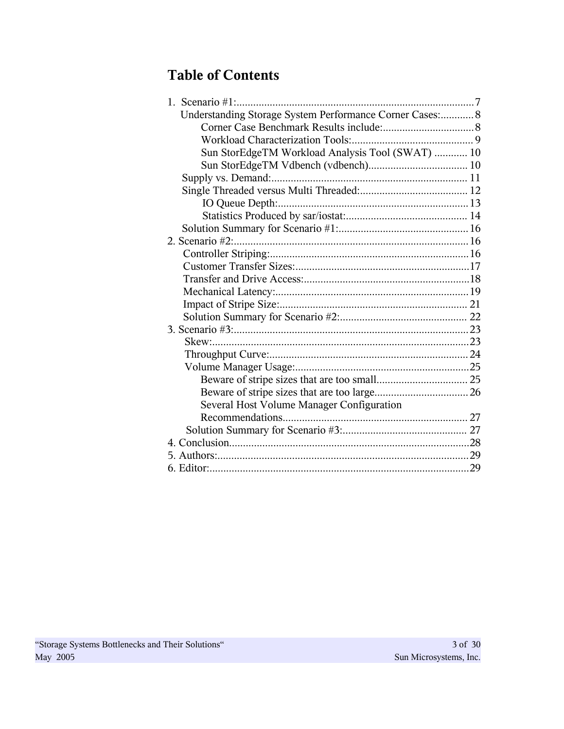# **Table of Contents**

| 1. Scenario $#1$ :                                       |    |
|----------------------------------------------------------|----|
| Understanding Storage System Performance Corner Cases: 8 |    |
|                                                          |    |
|                                                          |    |
| Sun StorEdgeTM Workload Analysis Tool (SWAT)  10         |    |
|                                                          |    |
|                                                          |    |
|                                                          |    |
|                                                          |    |
|                                                          |    |
|                                                          |    |
| 2. Scenario #2:                                          |    |
|                                                          |    |
|                                                          |    |
|                                                          |    |
|                                                          |    |
|                                                          |    |
|                                                          |    |
|                                                          |    |
|                                                          |    |
|                                                          |    |
|                                                          |    |
|                                                          |    |
|                                                          |    |
| Several Host Volume Manager Configuration                |    |
|                                                          |    |
|                                                          |    |
|                                                          | 28 |
|                                                          |    |
|                                                          | 29 |
|                                                          |    |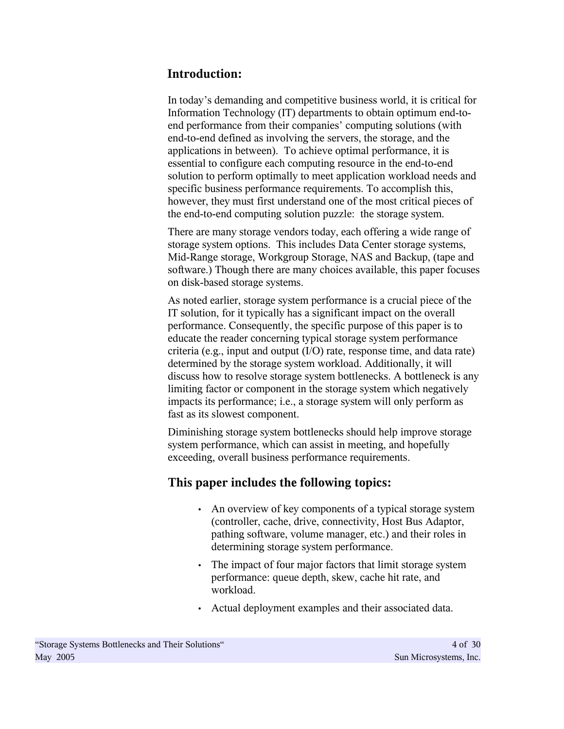# **Introduction:**

In today's demanding and competitive business world, it is critical for Information Technology (IT) departments to obtain optimum end-toend performance from their companies' computing solutions (with end-to-end defined as involving the servers, the storage, and the applications in between). To achieve optimal performance, it is essential to configure each computing resource in the end-to-end solution to perform optimally to meet application workload needs and specific business performance requirements. To accomplish this, however, they must first understand one of the most critical pieces of the end-to-end computing solution puzzle: the storage system.

There are many storage vendors today, each offering a wide range of storage system options. This includes Data Center storage systems, Mid-Range storage, Workgroup Storage, NAS and Backup, (tape and software.) Though there are many choices available, this paper focuses on disk-based storage systems.

As noted earlier, storage system performance is a crucial piece of the IT solution, for it typically has a significant impact on the overall performance. Consequently, the specific purpose of this paper is to educate the reader concerning typical storage system performance criteria (e.g., input and output (I/O) rate, response time, and data rate) determined by the storage system workload. Additionally, it will discuss how to resolve storage system bottlenecks. A bottleneck is any limiting factor or component in the storage system which negatively impacts its performance; i.e., a storage system will only perform as fast as its slowest component.

Diminishing storage system bottlenecks should help improve storage system performance, which can assist in meeting, and hopefully exceeding, overall business performance requirements.

# **This paper includes the following topics:**

- An overview of key components of a typical storage system (controller, cache, drive, connectivity, Host Bus Adaptor, pathing software, volume manager, etc.) and their roles in determining storage system performance.
- The impact of four major factors that limit storage system performance: queue depth, skew, cache hit rate, and workload.
- Actual deployment examples and their associated data.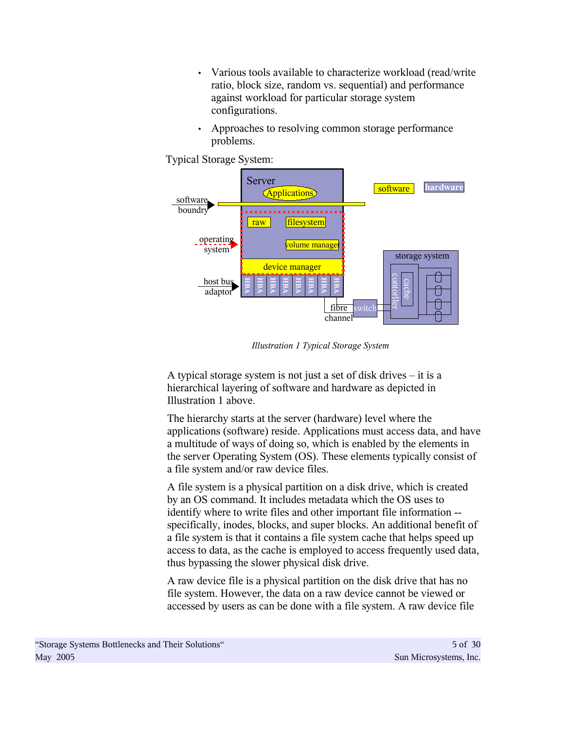- Various tools available to characterize workload (read/write ratio, block size, random vs. sequential) and performance against workload for particular storage system configurations.
- Approaches to resolving common storage performance problems.

Typical Storage System:



*Illustration 1 Typical Storage System*

A typical storage system is not just a set of disk drives – it is a hierarchical layering of software and hardware as depicted in Illustration 1 above.

The hierarchy starts at the server (hardware) level where the applications (software) reside. Applications must access data, and have a multitude of ways of doing so, which is enabled by the elements in the server Operating System (OS). These elements typically consist of a file system and/or raw device files.

A file system is a physical partition on a disk drive, which is created by an OS command. It includes metadata which the OS uses to identify where to write files and other important file information - specifically, inodes, blocks, and super blocks. An additional benefit of a file system is that it contains a file system cache that helps speed up access to data, as the cache is employed to access frequently used data, thus bypassing the slower physical disk drive.

A raw device file is a physical partition on the disk drive that has no file system. However, the data on a raw device cannot be viewed or accessed by users as can be done with a file system. A raw device file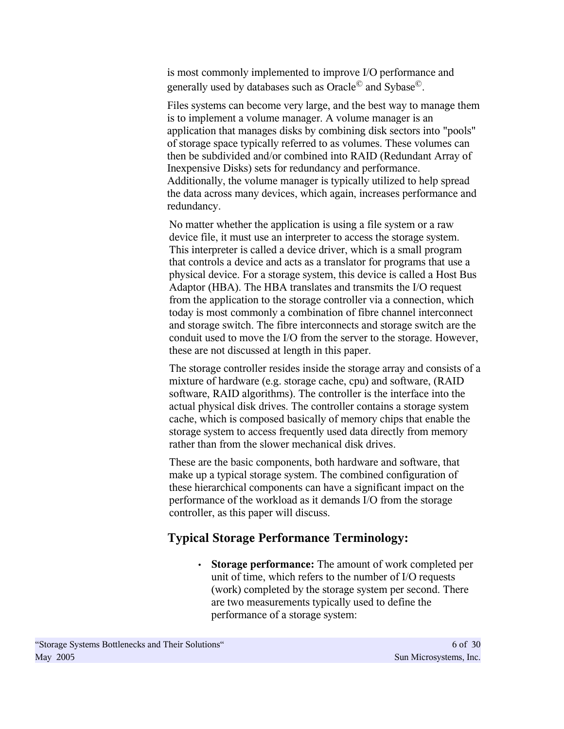is most commonly implemented to improve I/O performance and generally used by databases such as Oracle $^\copyright$  and Sybase $^\copyright$ .

Files systems can become very large, and the best way to manage them is to implement a volume manager. A volume manager is an application that manages disks by combining disk sectors into "pools" of storage space typically referred to as volumes. These volumes can then be subdivided and/or combined into RAID (Redundant Array of Inexpensive Disks) sets for redundancy and performance. Additionally, the volume manager is typically utilized to help spread the data across many devices, which again, increases performance and redundancy.

No matter whether the application is using a file system or a raw device file, it must use an interpreter to access the storage system. This interpreter is called a device driver, which is a small program that controls a device and acts as a translator for programs that use a physical device. For a storage system, this device is called a Host Bus Adaptor (HBA). The HBA translates and transmits the I/O request from the application to the storage controller via a connection, which today is most commonly a combination of fibre channel interconnect and storage switch. The fibre interconnects and storage switch are the conduit used to move the I/O from the server to the storage. However, these are not discussed at length in this paper.

The storage controller resides inside the storage array and consists of a mixture of hardware (e.g. storage cache, cpu) and software, (RAID software, RAID algorithms). The controller is the interface into the actual physical disk drives. The controller contains a storage system cache, which is composed basically of memory chips that enable the storage system to access frequently used data directly from memory rather than from the slower mechanical disk drives.

These are the basic components, both hardware and software, that make up a typical storage system. The combined configuration of these hierarchical components can have a significant impact on the performance of the workload as it demands I/O from the storage controller, as this paper will discuss.

# **Typical Storage Performance Terminology:**

• **Storage performance:** The amount of work completed per unit of time, which refers to the number of I/O requests (work) completed by the storage system per second. There are two measurements typically used to define the performance of a storage system: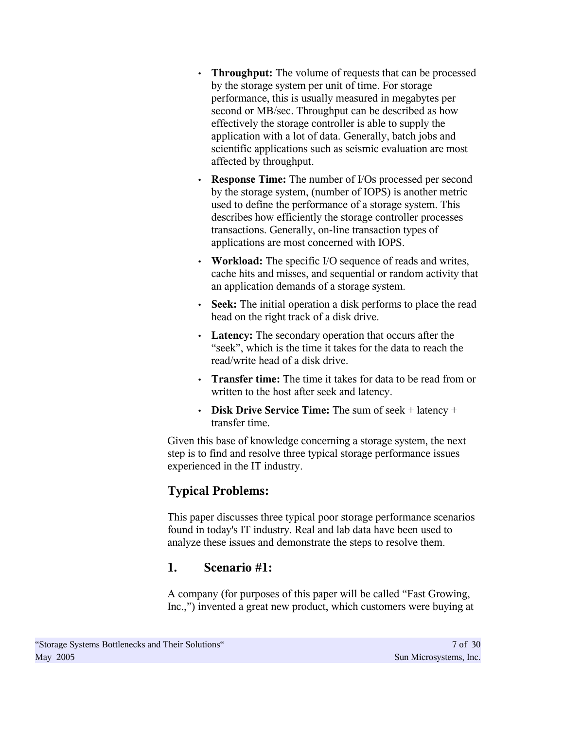- **Throughput:** The volume of requests that can be processed by the storage system per unit of time. For storage performance, this is usually measured in megabytes per second or MB/sec. Throughput can be described as how effectively the storage controller is able to supply the application with a lot of data. Generally, batch jobs and scientific applications such as seismic evaluation are most affected by throughput.
- **Response Time:** The number of I/Os processed per second by the storage system, (number of IOPS) is another metric used to define the performance of a storage system. This describes how efficiently the storage controller processes transactions. Generally, on-line transaction types of applications are most concerned with IOPS.
- **Workload:** The specific I/O sequence of reads and writes, cache hits and misses, and sequential or random activity that an application demands of a storage system.
- **Seek:** The initial operation a disk performs to place the read head on the right track of a disk drive.
- **Latency:** The secondary operation that occurs after the "seek", which is the time it takes for the data to reach the read/write head of a disk drive.
- **Transfer time:** The time it takes for data to be read from or written to the host after seek and latency.
- **Disk Drive Service Time:** The sum of seek + latency + transfer time.

Given this base of knowledge concerning a storage system, the next step is to find and resolve three typical storage performance issues experienced in the IT industry.

# **Typical Problems:**

This paper discusses three typical poor storage performance scenarios found in today's IT industry. Real and lab data have been used to analyze these issues and demonstrate the steps to resolve them.

# **1. Scenario #1:**

A company (for purposes of this paper will be called "Fast Growing, Inc.,") invented a great new product, which customers were buying at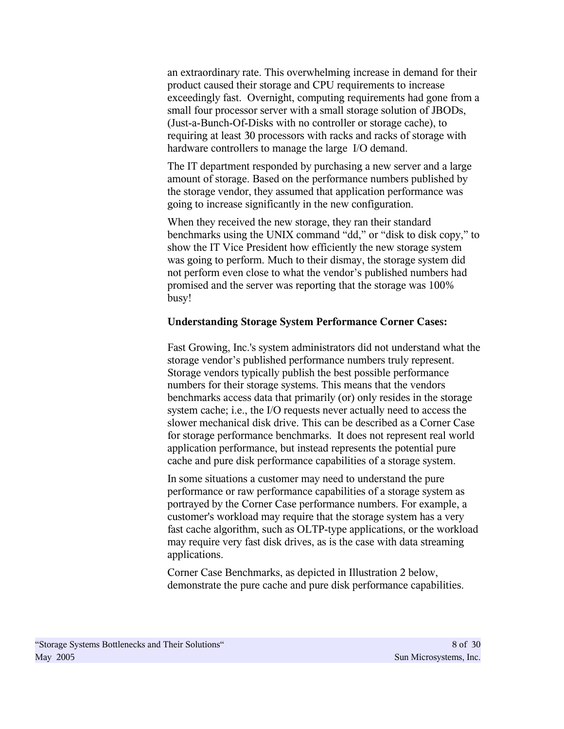an extraordinary rate. This overwhelming increase in demand for their product caused their storage and CPU requirements to increase exceedingly fast. Overnight, computing requirements had gone from a small four processor server with a small storage solution of JBODs, (Just-a-Bunch-Of-Disks with no controller or storage cache), to requiring at least 30 processors with racks and racks of storage with hardware controllers to manage the large I/O demand.

The IT department responded by purchasing a new server and a large amount of storage. Based on the performance numbers published by the storage vendor, they assumed that application performance was going to increase significantly in the new configuration.

When they received the new storage, they ran their standard benchmarks using the UNIX command "dd," or "disk to disk copy," to show the IT Vice President how efficiently the new storage system was going to perform. Much to their dismay, the storage system did not perform even close to what the vendor's published numbers had promised and the server was reporting that the storage was 100% busy!

#### **Understanding Storage System Performance Corner Cases:**

Fast Growing, Inc.'s system administrators did not understand what the storage vendor's published performance numbers truly represent. Storage vendors typically publish the best possible performance numbers for their storage systems. This means that the vendors benchmarks access data that primarily (or) only resides in the storage system cache; i.e., the I/O requests never actually need to access the slower mechanical disk drive. This can be described as a Corner Case for storage performance benchmarks. It does not represent real world application performance, but instead represents the potential pure cache and pure disk performance capabilities of a storage system.

In some situations a customer may need to understand the pure performance or raw performance capabilities of a storage system as portrayed by the Corner Case performance numbers. For example, a customer's workload may require that the storage system has a very fast cache algorithm, such as OLTP-type applications, or the workload may require very fast disk drives, as is the case with data streaming applications.

Corner Case Benchmarks, as depicted in Illustration 2 below, demonstrate the pure cache and pure disk performance capabilities.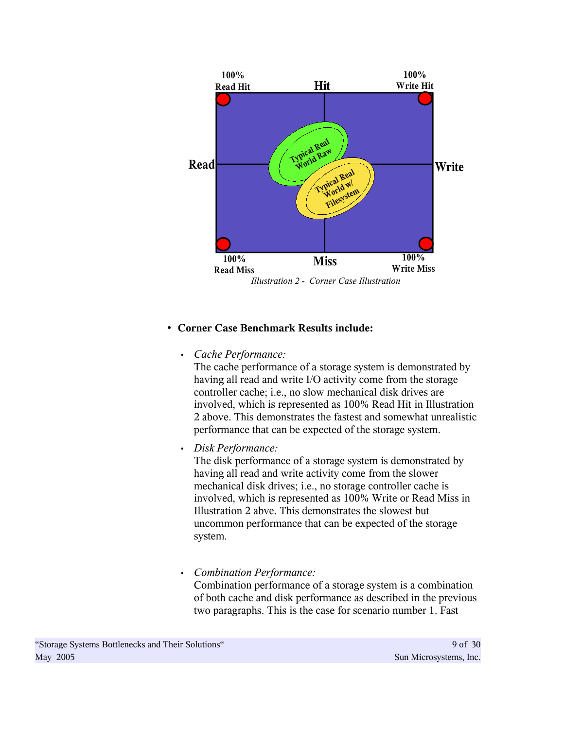

# • **Corner Case Benchmark Results include:**

# • *Cache Performance:*

The cache performance of a storage system is demonstrated by having all read and write I/O activity come from the storage controller cache; i.e., no slow mechanical disk drives are involved, which is represented as 100% Read Hit in Illustration 2 above. This demonstrates the fastest and somewhat unrealistic performance that can be expected of the storage system.

# • *Disk Performance:*

The disk performance of a storage system is demonstrated by having all read and write activity come from the slower mechanical disk drives; i.e., no storage controller cache is involved, which is represented as 100% Write or Read Miss in Illustration 2 abve. This demonstrates the slowest but uncommon performance that can be expected of the storage system.

# • *Combination Performance:*

Combination performance of a storage system is a combination of both cache and disk performance as described in the previous two paragraphs. This is the case for scenario number 1. Fast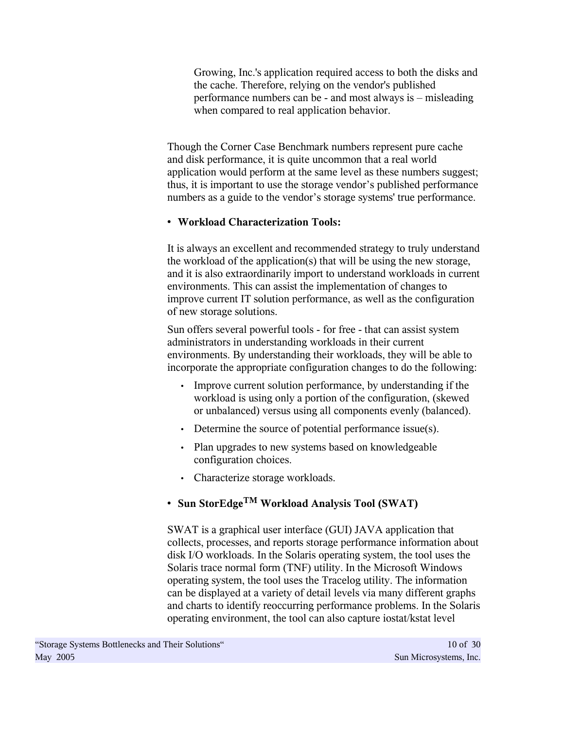Growing, Inc.'s application required access to both the disks and the cache. Therefore, relying on the vendor's published performance numbers can be - and most always is – misleading when compared to real application behavior.

Though the Corner Case Benchmark numbers represent pure cache and disk performance, it is quite uncommon that a real world application would perform at the same level as these numbers suggest; thus, it is important to use the storage vendor's published performance numbers as a guide to the vendor's storage systems' true performance.

# • **Workload Characterization Tools:**

It is always an excellent and recommended strategy to truly understand the workload of the application(s) that will be using the new storage, and it is also extraordinarily import to understand workloads in current environments. This can assist the implementation of changes to improve current IT solution performance, as well as the configuration of new storage solutions.

Sun offers several powerful tools - for free - that can assist system administrators in understanding workloads in their current environments. By understanding their workloads, they will be able to incorporate the appropriate configuration changes to do the following:

- Improve current solution performance, by understanding if the workload is using only a portion of the configuration, (skewed or unbalanced) versus using all components evenly (balanced).
- Determine the source of potential performance issue(s).
- Plan upgrades to new systems based on knowledgeable configuration choices.
- Characterize storage workloads.

# • **Sun StorEdgeTM Workload Analysis Tool (SWAT)**

SWAT is a graphical user interface (GUI) JAVA application that collects, processes, and reports storage performance information about disk I/O workloads. In the Solaris operating system, the tool uses the Solaris trace normal form (TNF) utility. In the Microsoft Windows operating system, the tool uses the Tracelog utility. The information can be displayed at a variety of detail levels via many different graphs and charts to identify reoccurring performance problems. In the Solaris operating environment, the tool can also capture iostat/kstat level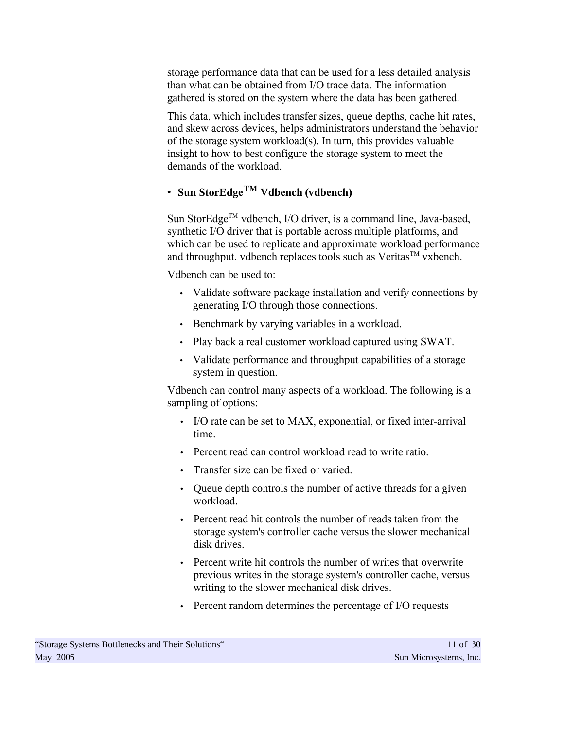storage performance data that can be used for a less detailed analysis than what can be obtained from I/O trace data. The information gathered is stored on the system where the data has been gathered.

This data, which includes transfer sizes, queue depths, cache hit rates, and skew across devices, helps administrators understand the behavior of the storage system workload(s). In turn, this provides valuable insight to how to best configure the storage system to meet the demands of the workload.

# • **Sun StorEdgeTM Vdbench (vdbench)**

Sun StorEdge™ vdbench, I/O driver, is a command line, Java-based, synthetic I/O driver that is portable across multiple platforms, and which can be used to replicate and approximate workload performance and throughput. vdbench replaces tools such as Veritas<sup>TM</sup> vxbench.

Vdbench can be used to:

- Validate software package installation and verify connections by generating I/O through those connections.
- Benchmark by varying variables in a workload.
- Play back a real customer workload captured using SWAT.
- Validate performance and throughput capabilities of a storage system in question.

Vdbench can control many aspects of a workload. The following is a sampling of options:

- I/O rate can be set to MAX, exponential, or fixed inter-arrival time.
- Percent read can control workload read to write ratio.
- Transfer size can be fixed or varied.
- Queue depth controls the number of active threads for a given workload.
- Percent read hit controls the number of reads taken from the storage system's controller cache versus the slower mechanical disk drives.
- Percent write hit controls the number of writes that overwrite previous writes in the storage system's controller cache, versus writing to the slower mechanical disk drives.
- Percent random determines the percentage of I/O requests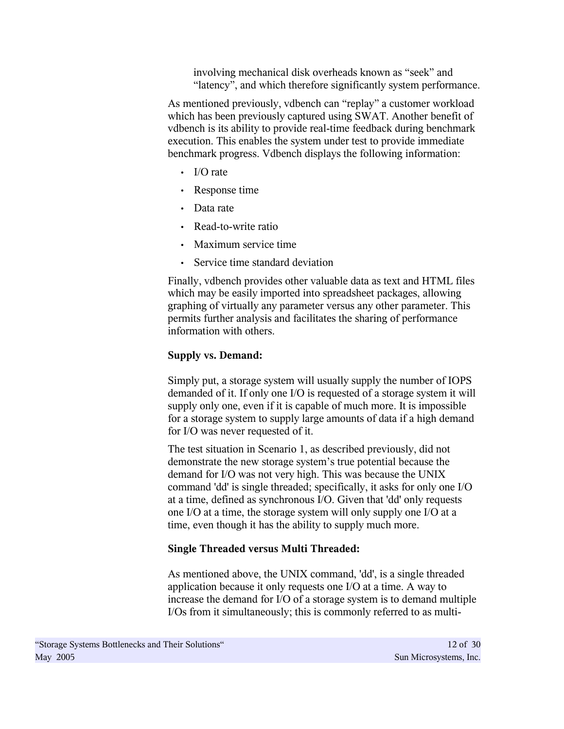involving mechanical disk overheads known as "seek" and "latency", and which therefore significantly system performance.

As mentioned previously, vdbench can "replay" a customer workload which has been previously captured using SWAT. Another benefit of vdbench is its ability to provide real-time feedback during benchmark execution. This enables the system under test to provide immediate benchmark progress. Vdbench displays the following information:

- I/O rate
- Response time
- Data rate
- Read-to-write ratio
- Maximum service time
- Service time standard deviation

Finally, vdbench provides other valuable data as text and HTML files which may be easily imported into spreadsheet packages, allowing graphing of virtually any parameter versus any other parameter. This permits further analysis and facilitates the sharing of performance information with others.

# **Supply vs. Demand:**

Simply put, a storage system will usually supply the number of IOPS demanded of it. If only one I/O is requested of a storage system it will supply only one, even if it is capable of much more. It is impossible for a storage system to supply large amounts of data if a high demand for I/O was never requested of it.

The test situation in Scenario 1, as described previously, did not demonstrate the new storage system's true potential because the demand for I/O was not very high. This was because the UNIX command 'dd' is single threaded; specifically, it asks for only one I/O at a time, defined as synchronous I/O. Given that 'dd' only requests one I/O at a time, the storage system will only supply one I/O at a time, even though it has the ability to supply much more.

# **Single Threaded versus Multi Threaded:**

As mentioned above, the UNIX command, 'dd', is a single threaded application because it only requests one I/O at a time. A way to increase the demand for I/O of a storage system is to demand multiple I/Os from it simultaneously; this is commonly referred to as multi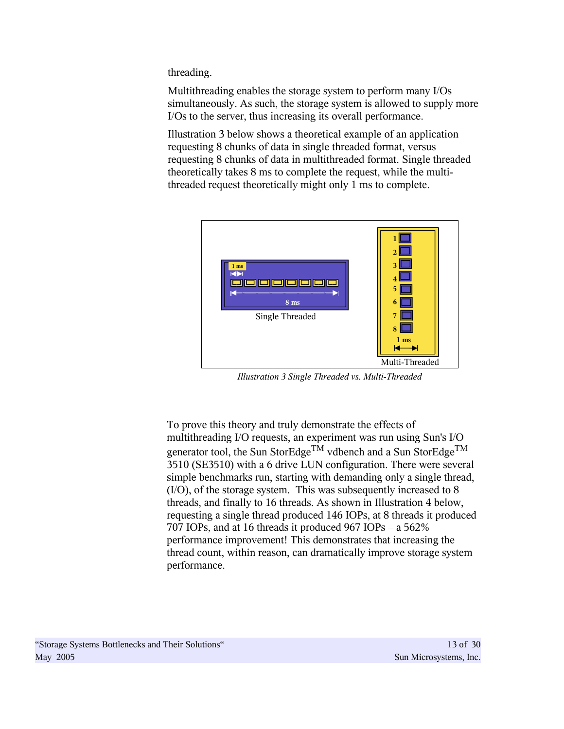threading.

Multithreading enables the storage system to perform many I/Os simultaneously. As such, the storage system is allowed to supply more I/Os to the server, thus increasing its overall performance.

Illustration 3 below shows a theoretical example of an application requesting 8 chunks of data in single threaded format, versus requesting 8 chunks of data in multithreaded format. Single threaded theoretically takes 8 ms to complete the request, while the multithreaded request theoretically might only 1 ms to complete.



*Illustration 3 Single Threaded vs. Multi-Threaded*

To prove this theory and truly demonstrate the effects of multithreading I/O requests, an experiment was run using Sun's I/O generator tool, the Sun StorEdge<sup>TM</sup> vdbench and a Sun StorEdge<sup>TM</sup> 3510 (SE3510) with a 6 drive LUN configuration. There were several simple benchmarks run, starting with demanding only a single thread, (I/O), of the storage system. This was subsequently increased to 8 threads, and finally to 16 threads. As shown in Illustration 4 below, requesting a single thread produced 146 IOPs, at 8 threads it produced 707 IOPs, and at 16 threads it produced 967 IOPs – a 562% performance improvement! This demonstrates that increasing the thread count, within reason, can dramatically improve storage system performance.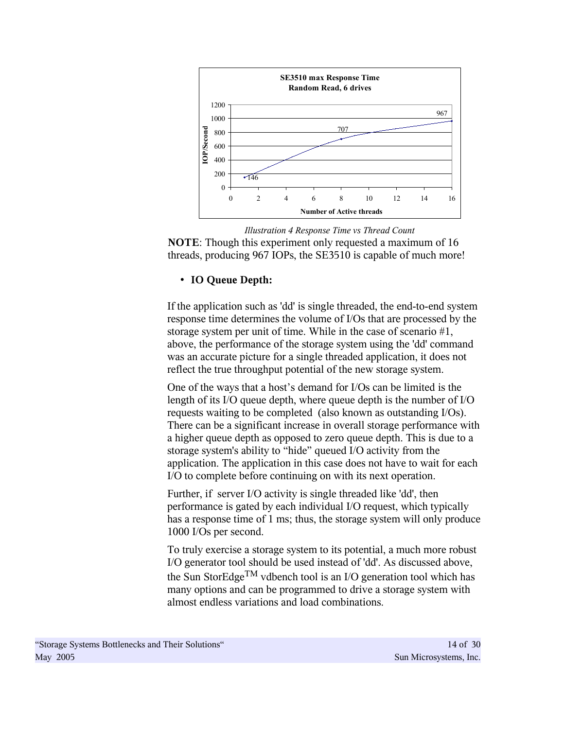

**NOTE**: Though this experiment only requested a maximum of 16 threads, producing 967 IOPs, the SE3510 is capable of much more! *Illustration 4 Response Time vs Thread Count*

# • **IO Queue Depth:**

If the application such as 'dd' is single threaded, the end-to-end system response time determines the volume of I/Os that are processed by the storage system per unit of time. While in the case of scenario #1, above, the performance of the storage system using the 'dd' command was an accurate picture for a single threaded application, it does not reflect the true throughput potential of the new storage system.

One of the ways that a host's demand for I/Os can be limited is the length of its I/O queue depth, where queue depth is the number of I/O requests waiting to be completed (also known as outstanding I/Os). There can be a significant increase in overall storage performance with a higher queue depth as opposed to zero queue depth. This is due to a storage system's ability to "hide" queued I/O activity from the application. The application in this case does not have to wait for each I/O to complete before continuing on with its next operation.

Further, if server I/O activity is single threaded like 'dd', then performance is gated by each individual I/O request, which typically has a response time of 1 ms; thus, the storage system will only produce 1000 I/Os per second.

To truly exercise a storage system to its potential, a much more robust I/O generator tool should be used instead of 'dd'. As discussed above, the Sun StorEdge<sup>TM</sup> vdbench tool is an I/O generation tool which has many options and can be programmed to drive a storage system with almost endless variations and load combinations.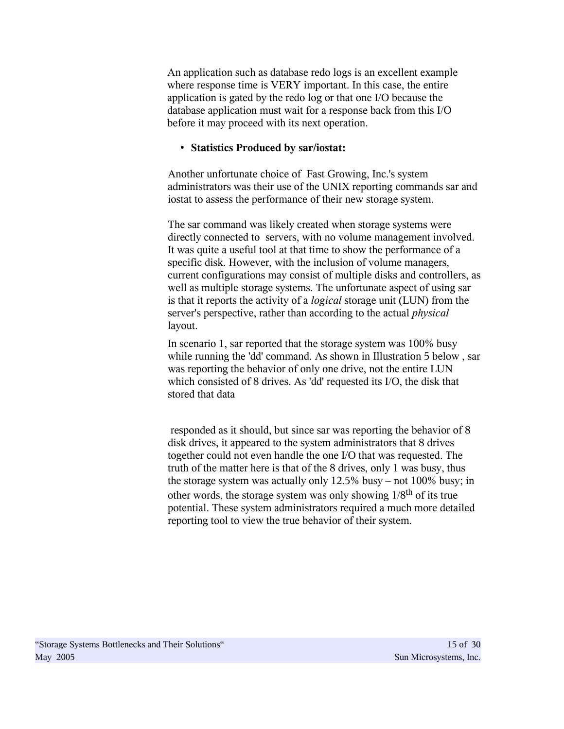An application such as database redo logs is an excellent example where response time is VERY important. In this case, the entire application is gated by the redo log or that one I/O because the database application must wait for a response back from this I/O before it may proceed with its next operation.

#### • **Statistics Produced by sar/iostat:**

Another unfortunate choice of Fast Growing, Inc.'s system administrators was their use of the UNIX reporting commands sar and iostat to assess the performance of their new storage system.

The sar command was likely created when storage systems were directly connected to servers, with no volume management involved. It was quite a useful tool at that time to show the performance of a specific disk. However, with the inclusion of volume managers, current configurations may consist of multiple disks and controllers, as well as multiple storage systems. The unfortunate aspect of using sar is that it reports the activity of a *logical* storage unit (LUN) from the server's perspective, rather than according to the actual *physical* layout.

In scenario 1, sar reported that the storage system was 100% busy while running the 'dd' command. As shown in Illustration 5 below, sar was reporting the behavior of only one drive, not the entire LUN which consisted of 8 drives. As 'dd' requested its I/O, the disk that stored that data

responded as it should, but since sar was reporting the behavior of 8 disk drives, it appeared to the system administrators that 8 drives together could not even handle the one I/O that was requested. The truth of the matter here is that of the 8 drives, only 1 was busy, thus the storage system was actually only 12.5% busy – not 100% busy; in other words, the storage system was only showing 1/8th of its true potential. These system administrators required a much more detailed reporting tool to view the true behavior of their system.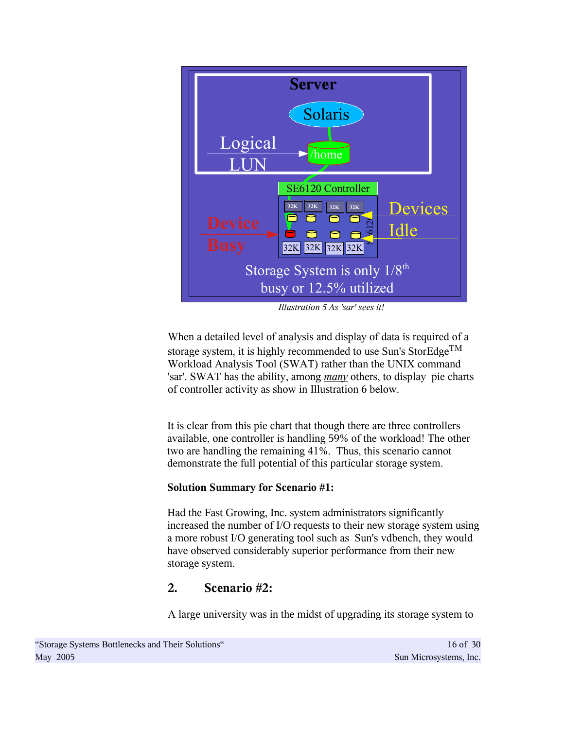

*Illustration 5 As 'sar' sees it!*

When a detailed level of analysis and display of data is required of a storage system, it is highly recommended to use Sun's StorEdge<sup>TM</sup> Workload Analysis Tool (SWAT) rather than the UNIX command 'sar'. SWAT has the ability, among *many* others, to display pie charts of controller activity as show in Illustration 6 below.

It is clear from this pie chart that though there are three controllers available, one controller is handling 59% of the workload! The other two are handling the remaining 41%. Thus, this scenario cannot demonstrate the full potential of this particular storage system.

# **Solution Summary for Scenario #1:**

Had the Fast Growing, Inc. system administrators significantly increased the number of I/O requests to their new storage system using a more robust I/O generating tool such as Sun's vdbench, they would have observed considerably superior performance from their new storage system.

# **2. Scenario #2:**

A large university was in the midst of upgrading its storage system to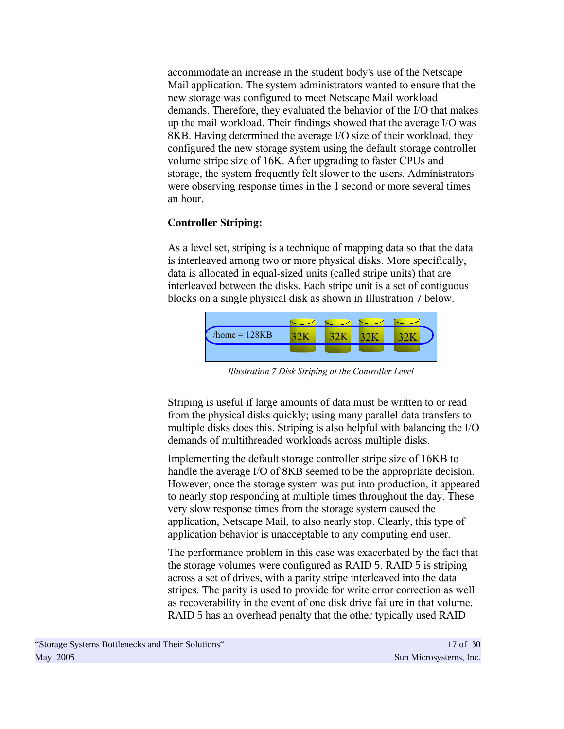accommodate an increase in the student body's use of the Netscape Mail application. The system administrators wanted to ensure that the new storage was configured to meet Netscape Mail workload demands. Therefore, they evaluated the behavior of the I/O that makes up the mail workload. Their findings showed that the average I/O was 8KB. Having determined the average I/O size of their workload, they configured the new storage system using the default storage controller volume stripe size of 16K. After upgrading to faster CPUs and storage, the system frequently felt slower to the users. Administrators were observing response times in the 1 second or more several times an hour.

# **Controller Striping:**

As a level set, striping is a technique of mapping data so that the data is interleaved among two or more physical disks. More specifically, data is allocated in equal-sized units (called stripe units) that are interleaved between the disks. Each stripe unit is a set of contiguous blocks on a single physical disk as shown in Illustration 7 below.



*Illustration 7 Disk Striping at the Controller Level*

Striping is useful if large amounts of data must be written to or read from the physical disks quickly; using many parallel data transfers to multiple disks does this. Striping is also helpful with balancing the I/O demands of multithreaded workloads across multiple disks.

Implementing the default storage controller stripe size of 16KB to handle the average I/O of 8KB seemed to be the appropriate decision. However, once the storage system was put into production, it appeared to nearly stop responding at multiple times throughout the day. These very slow response times from the storage system caused the application, Netscape Mail, to also nearly stop. Clearly, this type of application behavior is unacceptable to any computing end user.

The performance problem in this case was exacerbated by the fact that the storage volumes were configured as RAID 5. RAID 5 is striping across a set of drives, with a parity stripe interleaved into the data stripes. The parity is used to provide for write error correction as well as recoverability in the event of one disk drive failure in that volume. RAID 5 has an overhead penalty that the other typically used RAID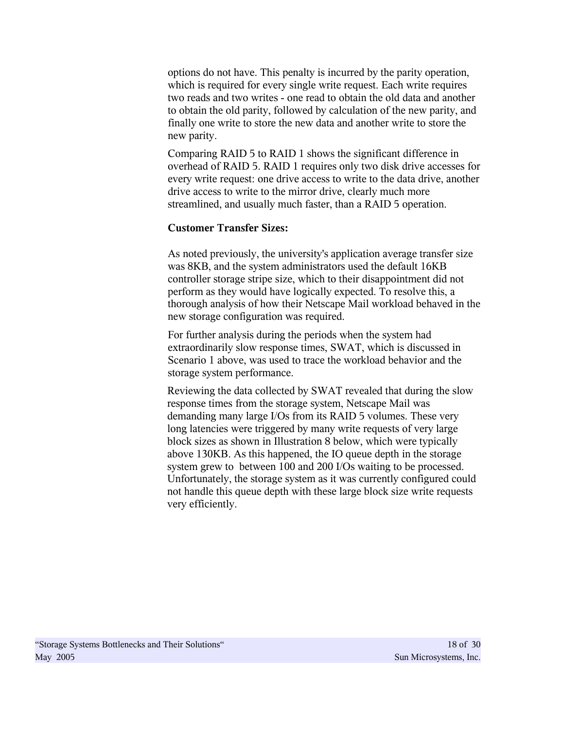options do not have. This penalty is incurred by the parity operation, which is required for every single write request. Each write requires two reads and two writes - one read to obtain the old data and another to obtain the old parity, followed by calculation of the new parity, and finally one write to store the new data and another write to store the new parity.

Comparing RAID 5 to RAID 1 shows the significant difference in overhead of RAID 5. RAID 1 requires only two disk drive accesses for every write request: one drive access to write to the data drive, another drive access to write to the mirror drive, clearly much more streamlined, and usually much faster, than a RAID 5 operation.

#### **Customer Transfer Sizes:**

As noted previously, the university's application average transfer size was 8KB, and the system administrators used the default 16KB controller storage stripe size, which to their disappointment did not perform as they would have logically expected. To resolve this, a thorough analysis of how their Netscape Mail workload behaved in the new storage configuration was required.

For further analysis during the periods when the system had extraordinarily slow response times, SWAT, which is discussed in Scenario 1 above, was used to trace the workload behavior and the storage system performance.

Reviewing the data collected by SWAT revealed that during the slow response times from the storage system, Netscape Mail was demanding many large I/Os from its RAID 5 volumes. These very long latencies were triggered by many write requests of very large block sizes as shown in Illustration 8 below, which were typically above 130KB. As this happened, the IO queue depth in the storage system grew to between 100 and 200 I/Os waiting to be processed. Unfortunately, the storage system as it was currently configured could not handle this queue depth with these large block size write requests very efficiently.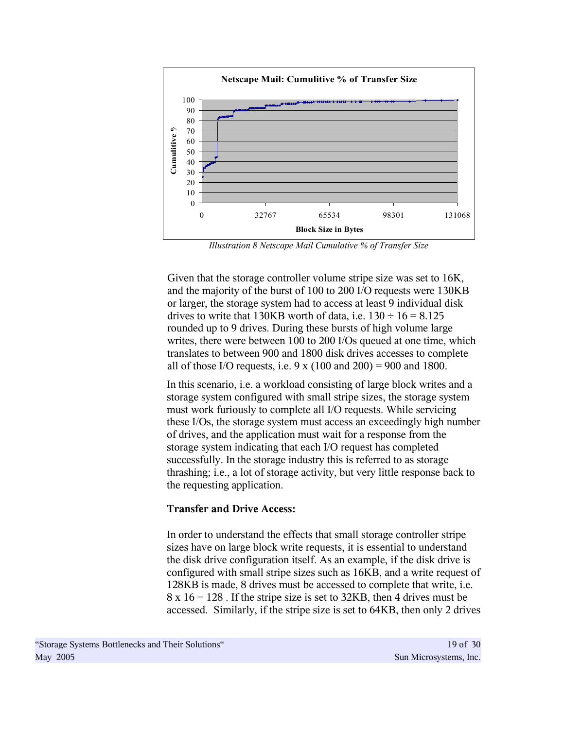

*Illustration 8 Netscape Mail Cumulative % of Transfer Size*

Given that the storage controller volume stripe size was set to 16K, and the majority of the burst of 100 to 200 I/O requests were 130KB or larger, the storage system had to access at least 9 individual disk drives to write that 130KB worth of data, i.e.  $130 \div 16 = 8.125$ rounded up to 9 drives. During these bursts of high volume large writes, there were between 100 to 200 I/Os queued at one time, which translates to between 900 and 1800 disk drives accesses to complete all of those I/O requests, i.e.  $9 \times (100 \text{ and } 200) = 900 \text{ and } 1800$ .

In this scenario, i.e. a workload consisting of large block writes and a storage system configured with small stripe sizes, the storage system must work furiously to complete all I/O requests. While servicing these I/Os, the storage system must access an exceedingly high number of drives, and the application must wait for a response from the storage system indicating that each I/O request has completed successfully. In the storage industry this is referred to as storage thrashing; i.e., a lot of storage activity, but very little response back to the requesting application.

#### **Transfer and Drive Access:**

In order to understand the effects that small storage controller stripe sizes have on large block write requests, it is essential to understand the disk drive configuration itself. As an example, if the disk drive is configured with small stripe sizes such as 16KB, and a write request of 128KB is made, 8 drives must be accessed to complete that write, i.e.  $8 \times 16 = 128$ . If the stripe size is set to 32KB, then 4 drives must be accessed. Similarly, if the stripe size is set to 64KB, then only 2 drives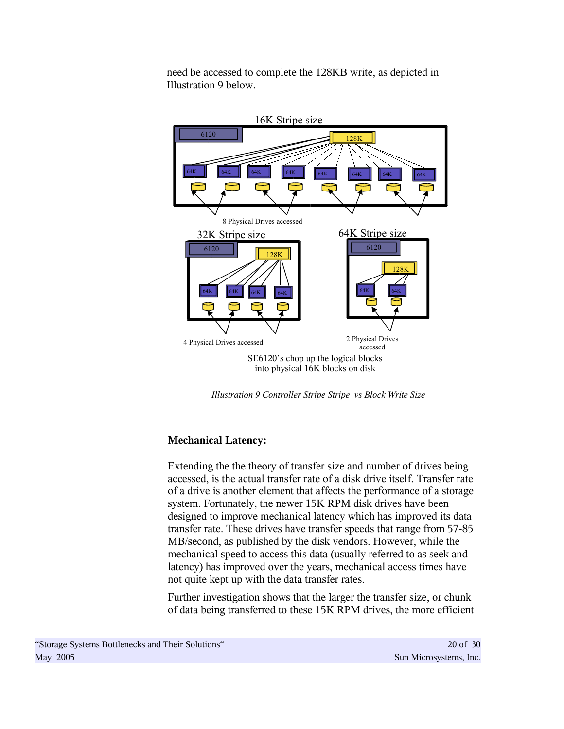need be accessed to complete the 128KB write, as depicted in Illustration 9 below.



*Illustration 9 Controller Stripe Stripe vs Block Write Size*

# **Mechanical Latency:**

Extending the the theory of transfer size and number of drives being accessed, is the actual transfer rate of a disk drive itself. Transfer rate of a drive is another element that affects the performance of a storage system. Fortunately, the newer 15K RPM disk drives have been designed to improve mechanical latency which has improved its data transfer rate. These drives have transfer speeds that range from 57-85 MB/second, as published by the disk vendors. However, while the mechanical speed to access this data (usually referred to as seek and latency) has improved over the years, mechanical access times have not quite kept up with the data transfer rates.

Further investigation shows that the larger the transfer size, or chunk of data being transferred to these 15K RPM drives, the more efficient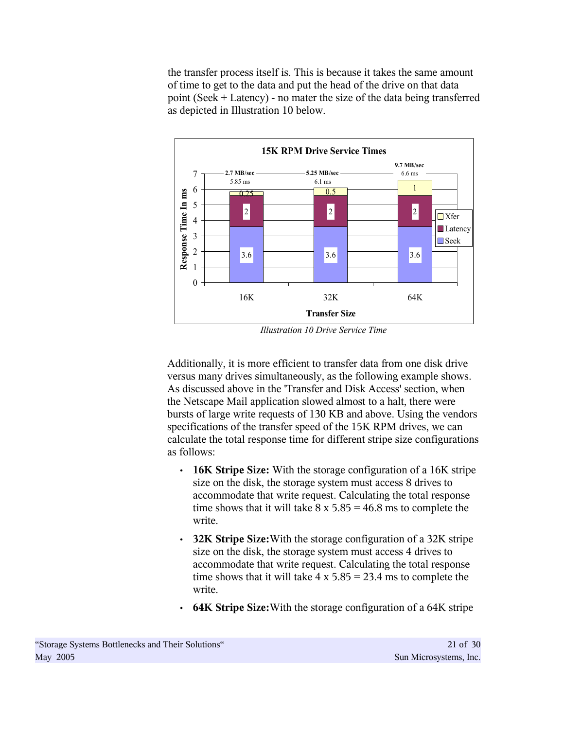the transfer process itself is. This is because it takes the same amount of time to get to the data and put the head of the drive on that data point (Seek + Latency) - no mater the size of the data being transferred as depicted in Illustration 10 below.



*Illustration 10 Drive Service Time*

Additionally, it is more efficient to transfer data from one disk drive versus many drives simultaneously, as the following example shows. As discussed above in the 'Transfer and Disk Access' section, when the Netscape Mail application slowed almost to a halt, there were bursts of large write requests of 130 KB and above. Using the vendors specifications of the transfer speed of the 15K RPM drives, we can calculate the total response time for different stripe size configurations as follows:

- **16K Stripe Size:** With the storage configuration of a 16K stripe size on the disk, the storage system must access 8 drives to accommodate that write request. Calculating the total response time shows that it will take  $8 \times 5.85 = 46.8$  ms to complete the write.
- **32K Stripe Size:**With the storage configuration of a 32K stripe size on the disk, the storage system must access 4 drives to accommodate that write request. Calculating the total response time shows that it will take  $4 \times 5.85 = 23.4$  ms to complete the write.
- **64K Stripe Size:**With the storage configuration of a 64K stripe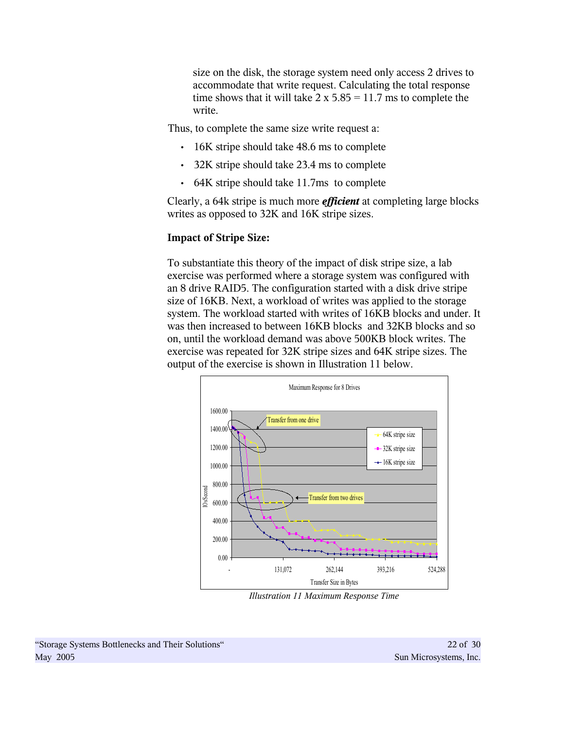size on the disk, the storage system need only access 2 drives to accommodate that write request. Calculating the total response time shows that it will take  $2 \times 5.85 = 11.7$  ms to complete the write.

Thus, to complete the same size write request a:

- 16K stripe should take 48.6 ms to complete
- 32K stripe should take 23.4 ms to complete
- 64K stripe should take 11.7ms to complete

Clearly, a 64k stripe is much more *efficient* at completing large blocks writes as opposed to 32K and 16K stripe sizes.

#### **Impact of Stripe Size:**

To substantiate this theory of the impact of disk stripe size, a lab exercise was performed where a storage system was configured with an 8 drive RAID5. The configuration started with a disk drive stripe size of 16KB. Next, a workload of writes was applied to the storage system. The workload started with writes of 16KB blocks and under. It was then increased to between 16KB blocks and 32KB blocks and so on, until the workload demand was above 500KB block writes. The exercise was repeated for 32K stripe sizes and 64K stripe sizes. The output of the exercise is shown in Illustration 11 below.



*Illustration 11 Maximum Response Time*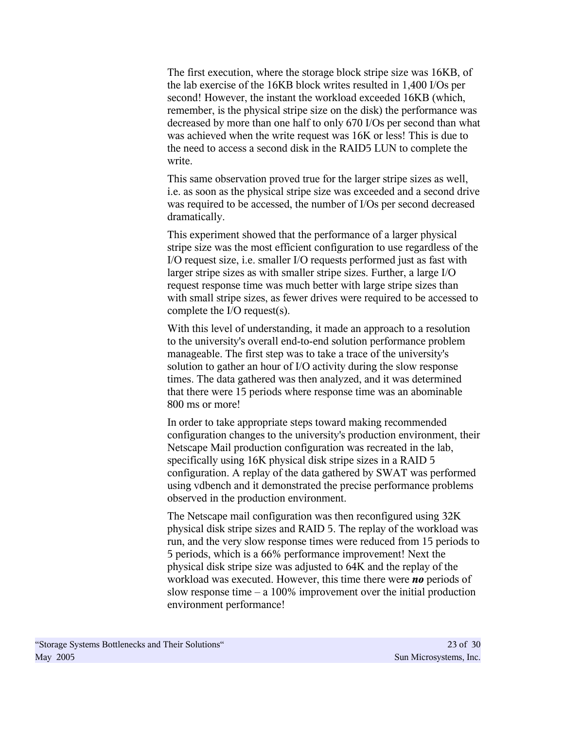The first execution, where the storage block stripe size was 16KB, of the lab exercise of the 16KB block writes resulted in 1,400 I/Os per second! However, the instant the workload exceeded 16KB (which, remember, is the physical stripe size on the disk) the performance was decreased by more than one half to only 670 I/Os per second than what was achieved when the write request was 16K or less! This is due to the need to access a second disk in the RAID5 LUN to complete the write.

This same observation proved true for the larger stripe sizes as well, i.e. as soon as the physical stripe size was exceeded and a second drive was required to be accessed, the number of I/Os per second decreased dramatically.

This experiment showed that the performance of a larger physical stripe size was the most efficient configuration to use regardless of the I/O request size, i.e. smaller I/O requests performed just as fast with larger stripe sizes as with smaller stripe sizes. Further, a large I/O request response time was much better with large stripe sizes than with small stripe sizes, as fewer drives were required to be accessed to complete the I/O request(s).

With this level of understanding, it made an approach to a resolution to the university's overall end-to-end solution performance problem manageable. The first step was to take a trace of the university's solution to gather an hour of I/O activity during the slow response times. The data gathered was then analyzed, and it was determined that there were 15 periods where response time was an abominable 800 ms or more!

In order to take appropriate steps toward making recommended configuration changes to the university's production environment, their Netscape Mail production configuration was recreated in the lab, specifically using 16K physical disk stripe sizes in a RAID 5 configuration. A replay of the data gathered by SWAT was performed using vdbench and it demonstrated the precise performance problems observed in the production environment.

The Netscape mail configuration was then reconfigured using 32K physical disk stripe sizes and RAID 5. The replay of the workload was run, and the very slow response times were reduced from 15 periods to 5 periods, which is a 66% performance improvement! Next the physical disk stripe size was adjusted to 64K and the replay of the workload was executed. However, this time there were *no* periods of slow response time  $- a 100\%$  improvement over the initial production environment performance!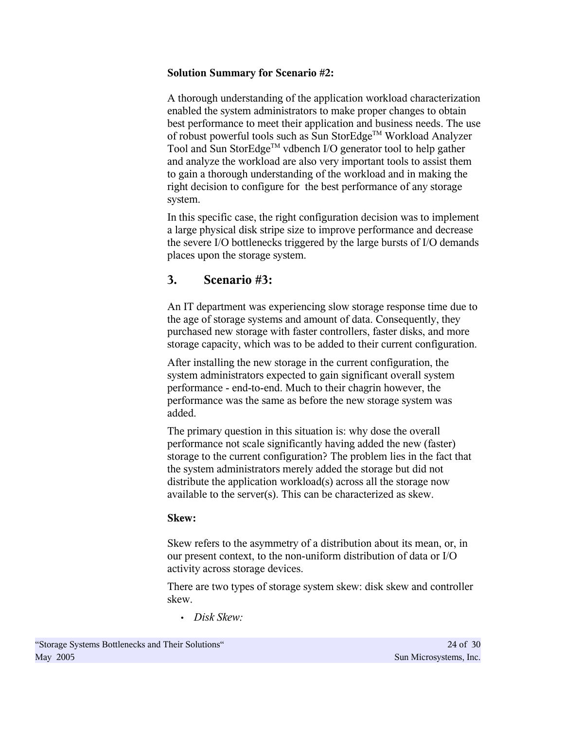# **Solution Summary for Scenario #2:**

A thorough understanding of the application workload characterization enabled the system administrators to make proper changes to obtain best performance to meet their application and business needs. The use of robust powerful tools such as Sun StorEdge™ Workload Analyzer Tool and Sun StorEdge<sup>™</sup> vdbench I/O generator tool to help gather and analyze the workload are also very important tools to assist them to gain a thorough understanding of the workload and in making the right decision to configure for the best performance of any storage system.

In this specific case, the right configuration decision was to implement a large physical disk stripe size to improve performance and decrease the severe I/O bottlenecks triggered by the large bursts of I/O demands places upon the storage system.

# **3. Scenario #3:**

An IT department was experiencing slow storage response time due to the age of storage systems and amount of data. Consequently, they purchased new storage with faster controllers, faster disks, and more storage capacity, which was to be added to their current configuration.

After installing the new storage in the current configuration, the system administrators expected to gain significant overall system performance - end-to-end. Much to their chagrin however, the performance was the same as before the new storage system was added.

The primary question in this situation is: why dose the overall performance not scale significantly having added the new (faster) storage to the current configuration? The problem lies in the fact that the system administrators merely added the storage but did not distribute the application workload(s) across all the storage now available to the server(s). This can be characterized as skew.

# **Skew:**

Skew refers to the asymmetry of a distribution about its mean, or, in our present context, to the non-uniform distribution of data or I/O activity across storage devices.

There are two types of storage system skew: disk skew and controller skew.

• *Disk Skew:*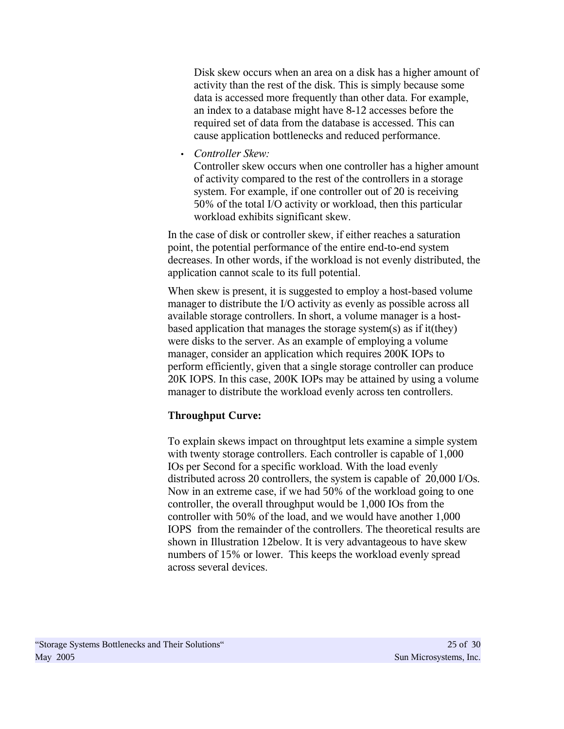Disk skew occurs when an area on a disk has a higher amount of activity than the rest of the disk. This is simply because some data is accessed more frequently than other data. For example, an index to a database might have 8-12 accesses before the required set of data from the database is accessed. This can cause application bottlenecks and reduced performance.

• *Controller Skew:*

Controller skew occurs when one controller has a higher amount of activity compared to the rest of the controllers in a storage system. For example, if one controller out of 20 is receiving 50% of the total I/O activity or workload, then this particular workload exhibits significant skew.

In the case of disk or controller skew, if either reaches a saturation point, the potential performance of the entire end-to-end system decreases. In other words, if the workload is not evenly distributed, the application cannot scale to its full potential.

When skew is present, it is suggested to employ a host-based volume manager to distribute the I/O activity as evenly as possible across all available storage controllers. In short, a volume manager is a hostbased application that manages the storage system(s) as if it(they) were disks to the server. As an example of employing a volume manager, consider an application which requires 200K IOPs to perform efficiently, given that a single storage controller can produce 20K IOPS. In this case, 200K IOPs may be attained by using a volume manager to distribute the workload evenly across ten controllers.

# **Throughput Curve:**

To explain skews impact on throughtput lets examine a simple system with twenty storage controllers. Each controller is capable of  $1,000$ IOs per Second for a specific workload. With the load evenly distributed across 20 controllers, the system is capable of 20,000 I/Os. Now in an extreme case, if we had 50% of the workload going to one controller, the overall throughput would be 1,000 IOs from the controller with 50% of the load, and we would have another 1,000 IOPS from the remainder of the controllers. The theoretical results are shown in Illustration 12below. It is very advantageous to have skew numbers of 15% or lower. This keeps the workload evenly spread across several devices.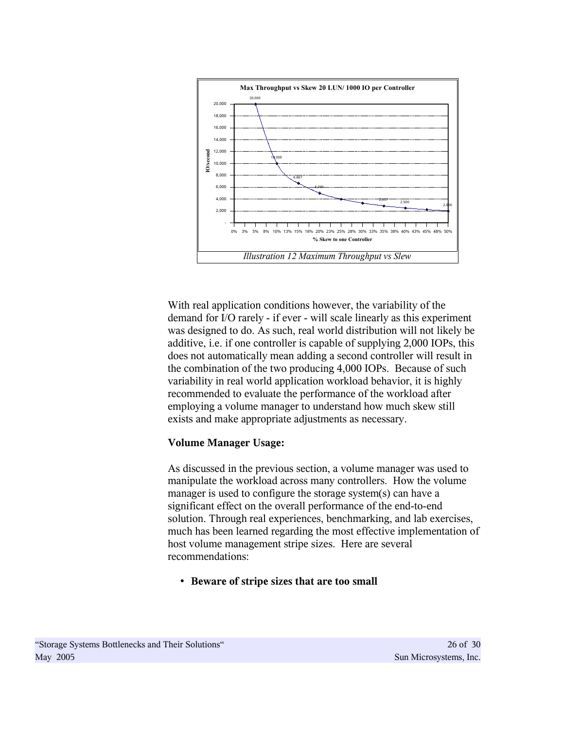

With real application conditions however, the variability of the demand for I/O rarely - if ever - will scale linearly as this experiment was designed to do. As such, real world distribution will not likely be additive, i.e. if one controller is capable of supplying 2,000 IOPs, this does not automatically mean adding a second controller will result in the combination of the two producing 4,000 IOPs. Because of such variability in real world application workload behavior, it is highly recommended to evaluate the performance of the workload after employing a volume manager to understand how much skew still exists and make appropriate adjustments as necessary.

#### **Volume Manager Usage:**

As discussed in the previous section, a volume manager was used to manipulate the workload across many controllers. How the volume manager is used to configure the storage system(s) can have a significant effect on the overall performance of the end-to-end solution. Through real experiences, benchmarking, and lab exercises, much has been learned regarding the most effective implementation of host volume management stripe sizes. Here are several recommendations:

• **Beware of stripe sizes that are too small**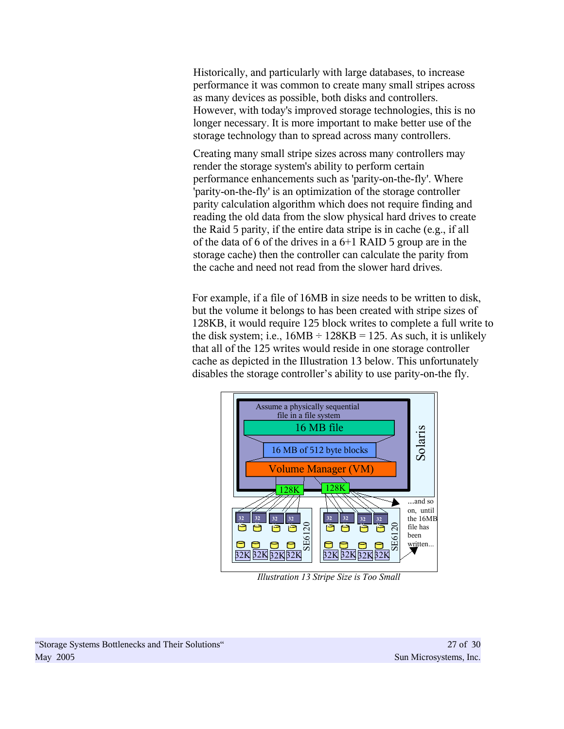Historically, and particularly with large databases, to increase performance it was common to create many small stripes across as many devices as possible, both disks and controllers. However, with today's improved storage technologies, this is no longer necessary. It is more important to make better use of the storage technology than to spread across many controllers.

Creating many small stripe sizes across many controllers may render the storage system's ability to perform certain performance enhancements such as 'parity-on-the-fly'. Where 'parity-on-the-fly' is an optimization of the storage controller parity calculation algorithm which does not require finding and reading the old data from the slow physical hard drives to create the Raid 5 parity, if the entire data stripe is in cache (e.g., if all of the data of 6 of the drives in a 6+1 RAID 5 group are in the storage cache) then the controller can calculate the parity from the cache and need not read from the slower hard drives.

For example, if a file of 16MB in size needs to be written to disk, but the volume it belongs to has been created with stripe sizes of 128KB, it would require 125 block writes to complete a full write to the disk system; i.e.,  $16MB \div 128KB = 125$ . As such, it is unlikely that all of the 125 writes would reside in one storage controller cache as depicted in the Illustration 13 below. This unfortunately disables the storage controller's ability to use parity-on-the fly.



*Illustration 13 Stripe Size is Too Small*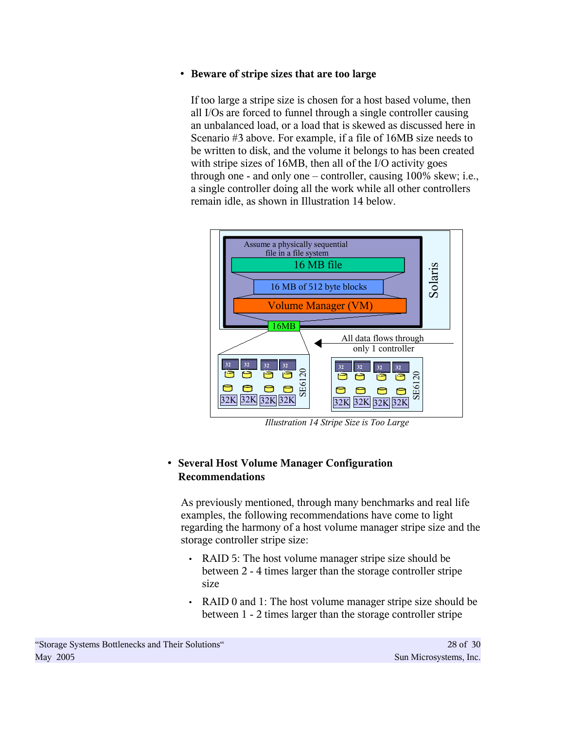# • **Beware of stripe sizes that are too large**

If too large a stripe size is chosen for a host based volume, then all I/Os are forced to funnel through a single controller causing an unbalanced load, or a load that is skewed as discussed here in Scenario #3 above. For example, if a file of 16MB size needs to be written to disk, and the volume it belongs to has been created with stripe sizes of 16MB, then all of the I/O activity goes through one - and only one – controller, causing 100% skew; i.e., a single controller doing all the work while all other controllers remain idle, as shown in Illustration 14 below.



*Illustration 14 Stripe Size is Too Large*

# • **Several Host Volume Manager Configuration Recommendations**

As previously mentioned, through many benchmarks and real life examples, the following recommendations have come to light regarding the harmony of a host volume manager stripe size and the storage controller stripe size:

- RAID 5: The host volume manager stripe size should be between 2 - 4 times larger than the storage controller stripe size
- RAID 0 and 1: The host volume manager stripe size should be between 1 - 2 times larger than the storage controller stripe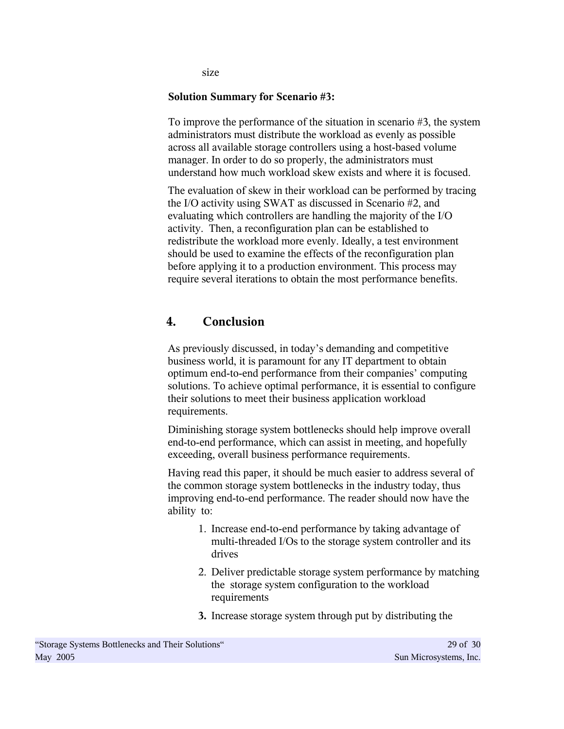size

#### **Solution Summary for Scenario #3:**

To improve the performance of the situation in scenario #3, the system administrators must distribute the workload as evenly as possible across all available storage controllers using a host-based volume manager. In order to do so properly, the administrators must understand how much workload skew exists and where it is focused.

The evaluation of skew in their workload can be performed by tracing the I/O activity using SWAT as discussed in Scenario #2, and evaluating which controllers are handling the majority of the I/O activity. Then, a reconfiguration plan can be established to redistribute the workload more evenly. Ideally, a test environment should be used to examine the effects of the reconfiguration plan before applying it to a production environment. This process may require several iterations to obtain the most performance benefits.

# **4. Conclusion**

As previously discussed, in today's demanding and competitive business world, it is paramount for any IT department to obtain optimum end-to-end performance from their companies' computing solutions. To achieve optimal performance, it is essential to configure their solutions to meet their business application workload requirements.

Diminishing storage system bottlenecks should help improve overall end-to-end performance, which can assist in meeting, and hopefully exceeding, overall business performance requirements.

Having read this paper, it should be much easier to address several of the common storage system bottlenecks in the industry today, thus improving end-to-end performance. The reader should now have the ability to:

- 1. Increase end-to-end performance by taking advantage of multi-threaded I/Os to the storage system controller and its drives
- 2. Deliver predictable storage system performance by matching the storage system configuration to the workload requirements
- **3.** Increase storage system through put by distributing the